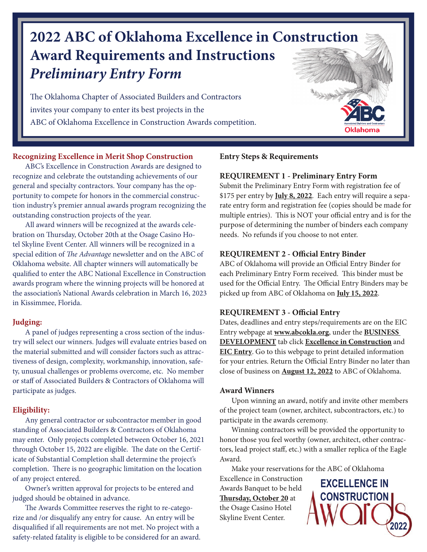# **2022 ABC of Oklahoma Excellence in Construction Award Requirements and Instructions** *Preliminary Entry Form*

The Oklahoma Chapter of Associated Builders and Contractors invites your company to enter its best projects in the ABC of Oklahoma Excellence in Construction Awards competition.

#### **Recognizing Excellence in Merit Shop Construction**

 ABC's Excellence in Construction Awards are designed to recognize and celebrate the outstanding achievements of our general and specialty contractors. Your company has the opportunity to compete for honors in the commercial construction industry's premier annual awards program recognizing the outstanding construction projects of the year.

 All award winners will be recognized at the awards celebration on Thursday, October 20th at the Osage Casino Hotel Skyline Event Center. All winners will be recognized in a special edition of The Advantage newsletter and on the ABC of Oklahoma website. All chapter winners will automatically be qualified to enter the ABC National Excellence in Construction awards program where the winning projects will be honored at the association's National Awards celebration in March 16, 2023 in Kissimmee, Florida.

#### **Judging:**

 A panel of judges representing a cross section of the industry will select our winners. Judges will evaluate entries based on the material submitted and will consider factors such as attractiveness of design, complexity, workmanship, innovation, safety, unusual challenges or problems overcome, etc. No member or staff of Associated Builders & Contractors of Oklahoma will participate as judges.

### **Eligibility:**

Any general contractor or subcontractor member in good standing of Associated Builders & Contractors of Oklahoma may enter. Only projects completed between October 16, 2021 through October 15, 2022 are eligible. The date on the Certificate of Substantial Completion shall determine the project's completion. There is no geographic limitation on the location of any project entered.

 Owner's written approval for projects to be entered and judged should be obtained in advance.

The Awards Committee reserves the right to re-categorize and /or disqualify any entry for cause. An entry will be disqualified if all requirements are not met. No project with a safety-related fatality is eligible to be considered for an award.

### **Entry Steps & Requirements**

#### **REQUIREMENT 1 - Preliminary Entry Form**

Submit the Preliminary Entry Form with registration fee of \$175 per entry by **July 8, 2022**. Each entry will require a separate entry form and registration fee (copies should be made for multiple entries). This is NOT your official entry and is for the purpose of determining the number of binders each company needs. No refunds if you choose to not enter.

#### **REQUIREMENT 2 - Official Entry Binder**

ABC of Oklahoma will provide an Official Entry Binder for each Preliminary Entry Form received. This binder must be used for the Official Entry. The Official Entry Binders may be picked up from ABC of Oklahoma on **July 15, 2022**.

### **REQUIREMENT 3 - Official Entry**

Dates, deadlines and entry steps/requirements are on the EIC Entry webpage at **www.abcokla.org**, under the **BUSINESS DEVELOPMENT** tab click **Excellence in Construction** and **EIC Entry**. Go to this webpage to print detailed information for your entries. Return the Official Entry Binder no later than close of business on **August 12, 2022** to ABC of Oklahoma.

#### **Award Winners**

 Upon winning an award, notify and invite other members of the project team (owner, architect, subcontractors, etc.) to participate in the awards ceremony.

 Winning contractors will be provided the opportunity to honor those you feel worthy (owner, architect, other contractors, lead project staff, etc.) with a smaller replica of the Eagle Award.

Make your reservations for the ABC of Oklahoma

Excellence in Construction Awards Banquet to be held **Thursday, October 20** at the Osage Casino Hotel Skyline Event Center.

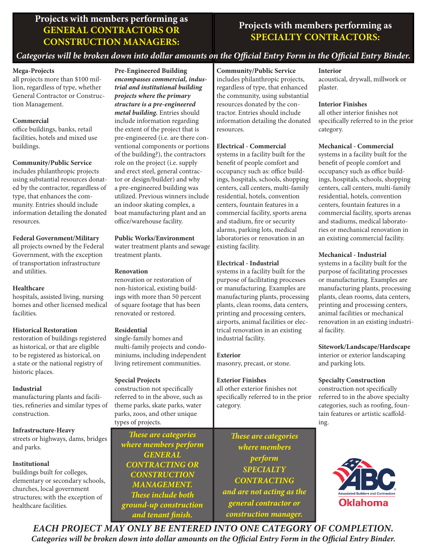### **Projects with members performing as GENERAL CONTRACTORS OR CONSTRUCTION MANAGERS:**

### **Projects with members performing as SPECIALTY CONTRACTORS:**

### *Categories will be broken down into dollar amounts on the Official Entry Form in the Official Entry Binder.*

#### **Mega-Projects**

all projects more than \$100 million, regardless of type, whether General Contractor or Construction Management.

#### **Commercial**

office buildings, banks, retail facilities, hotels and mixed use buildings.

#### **Community/Public Service**

includes philanthropic projects using substantial resources donated by the contractor, regardless of type, that enhances the community. Entries should include information detailing the donated resources.

#### **Federal Government/Military**

all projects owned by the Federal Government, with the exception of transportation infrastructure and utilities.

#### **Healthcare**

hospitals, assisted living, nursing homes and other licensed medical facilities.

#### **Historical Restoration**

restoration of buildings registered as historical, or that are eligible to be registered as historical, on a state or the national registry of historic places.

#### **Industrial**

manufacturing plants and facilities, refineries and similar types of construction.

#### **Infrastructure-Heavy**

streets or highways, dams, bridges and parks.

### **Institutional**

buildings built for colleges, elementary or secondary schools, churches, local government structures; with the exception of healthcare facilities.

**Pre-Engineered Building** *encompasses commercial, industrial and institutional building projects where the primary structure is a pre-engineered metal building.* Entries should include information regarding the extent of the project that is pre-engineered (i.e. are there conventional components or portions of the building?), the contractors role on the project (i.e. supply and erect steel, general contractor or design/builder) and why a pre-engineered building was utilized. Previous winners include an indoor skating complex, a boat manufacturing plant and an office/warehouse facility.

#### **Public Works/Environment**

water treatment plants and sewage treatment plants.

#### **Renovation**

renovation or restoration of non-historical, existing buildings with more than 50 percent of square footage that has been renovated or restored.

#### **Residential**

single-family homes and multi-family projects and condominiums, including independent living retirement communities.

#### **Special Projects**

construction not specifically referred to in the above, such as theme parks, skate parks, water parks, zoos, and other unique types of projects.

*Th ese are categories where members perform GENERAL CONTRACTING OR CONSTRUCTION MANAGEMENT.*  **These include both** *ground-up construction and tenant finish.* 

**Community/Public Service**  includes philanthropic projects, regardless of type, that enhanced the community, using substantial resources donated by the contractor. Entries should include information detailing the donated resources.

#### **Electrical - Commercial**

systems in a facility built for the benefit of people comfort and occupancy such as: office buildings, hospitals, schools, shopping centers, call centers, multi-family residential, hotels, convention centers, fountain features in a commercial facility, sports arena and stadium, fire or security alarms, parking lots, medical laboratories or renovation in an existing facility.

#### **Electrical - Industrial**

systems in a facility built for the purpose of facilitating processes or manufacturing. Examples are manufacturing plants, processing plants, clean rooms, data centers, printing and processing centers, airports, animal facilities or electrical renovation in an existing industrial facility.

**Exterior** masonry, precast, or stone.

**Exterior Finishes** all other exterior finishes not specifically referred to in the prior category.

*Th ese are categories where members perform SPECIALTY CONTRACTING and are not acting as the general contractor or construction manager.*

#### **Interior**

acoustical, drywall, millwork or plaster.

#### **Interior Finishes**

all other interior finishes not specifically referred to in the prior category.

#### **Mechanical - Commercial**

systems in a facility built for the benefit of people comfort and occupancy such as office buildings, hospitals, schools, shopping centers, call centers, multi-family residential, hotels, convention centers, fountain features in a commercial facility, sports arenas and stadiums, medical laboratories or mechanical renovation in an existing commercial facility.

#### **Mechanical - Industrial**

systems in a facility built for the purpose of facilitating processes or manufacturing. Examples are manufacturing plants, processing plants, clean rooms, data centers, printing and processing centers, animal facilities or mechanical renovation in an existing industrial facility.

### **Sitework/Landscape/Hardscape**

interior or exterior landscaping and parking lots.

#### **Specialty Construction**

construction not specifically referred to in the above specialty categories, such as roofing, fountain features or artistic scaffolding.



*EACH PROJECT MAY ONLY BE ENTERED INTO ONE CATEGORY OF COMPLETION. Categories will be broken down into dollar amounts on the Official Entry Form in the Official Entry Binder.*